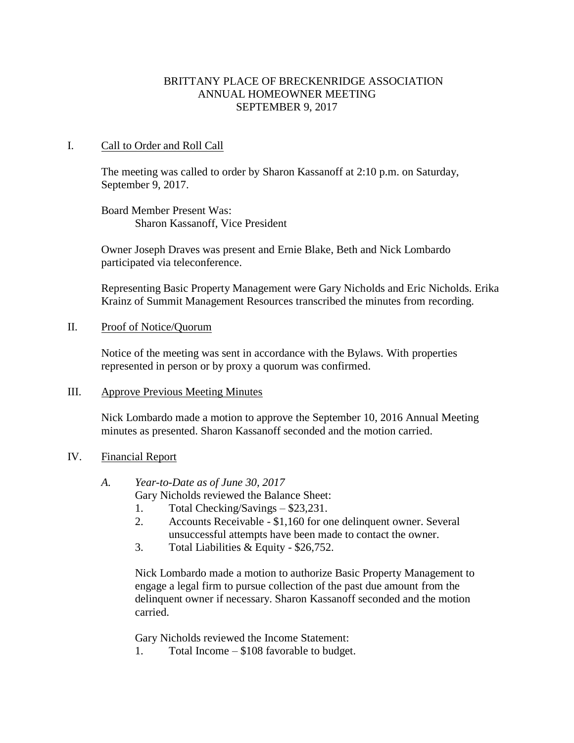# BRITTANY PLACE OF BRECKENRIDGE ASSOCIATION ANNUAL HOMEOWNER MEETING SEPTEMBER 9, 2017

# I. Call to Order and Roll Call

The meeting was called to order by Sharon Kassanoff at 2:10 p.m. on Saturday, September 9, 2017.

Board Member Present Was: Sharon Kassanoff, Vice President

Owner Joseph Draves was present and Ernie Blake, Beth and Nick Lombardo participated via teleconference.

Representing Basic Property Management were Gary Nicholds and Eric Nicholds. Erika Krainz of Summit Management Resources transcribed the minutes from recording.

II. Proof of Notice/Quorum

Notice of the meeting was sent in accordance with the Bylaws. With properties represented in person or by proxy a quorum was confirmed.

# III. Approve Previous Meeting Minutes

Nick Lombardo made a motion to approve the September 10, 2016 Annual Meeting minutes as presented. Sharon Kassanoff seconded and the motion carried.

# IV. Financial Report

*A. Year-to-Date as of June 30, 2017*

Gary Nicholds reviewed the Balance Sheet:

- 1. Total Checking/Savings \$23,231.
- 2. Accounts Receivable \$1,160 for one delinquent owner. Several unsuccessful attempts have been made to contact the owner.
- 3. Total Liabilities & Equity \$26,752.

Nick Lombardo made a motion to authorize Basic Property Management to engage a legal firm to pursue collection of the past due amount from the delinquent owner if necessary. Sharon Kassanoff seconded and the motion carried.

Gary Nicholds reviewed the Income Statement:

1. Total Income – \$108 favorable to budget.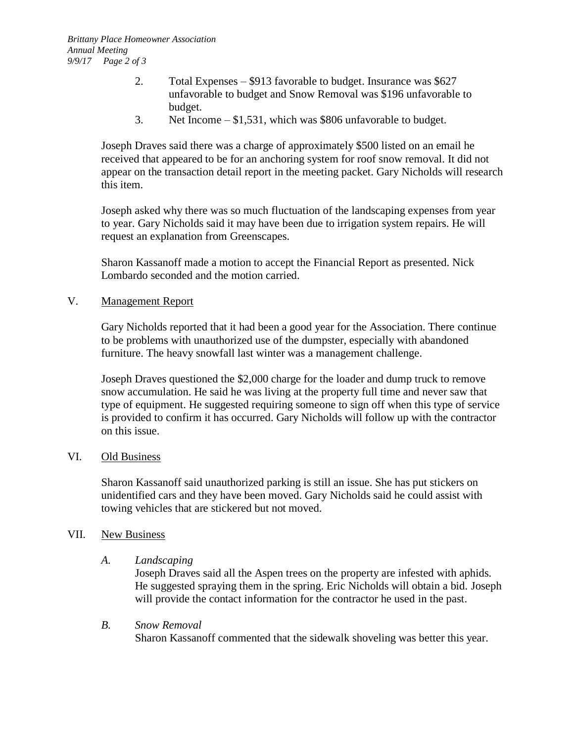- 2. Total Expenses \$913 favorable to budget. Insurance was \$627 unfavorable to budget and Snow Removal was \$196 unfavorable to budget.
- 3. Net Income \$1,531, which was \$806 unfavorable to budget.

Joseph Draves said there was a charge of approximately \$500 listed on an email he received that appeared to be for an anchoring system for roof snow removal. It did not appear on the transaction detail report in the meeting packet. Gary Nicholds will research this item.

Joseph asked why there was so much fluctuation of the landscaping expenses from year to year. Gary Nicholds said it may have been due to irrigation system repairs. He will request an explanation from Greenscapes.

Sharon Kassanoff made a motion to accept the Financial Report as presented. Nick Lombardo seconded and the motion carried.

## V. Management Report

Gary Nicholds reported that it had been a good year for the Association. There continue to be problems with unauthorized use of the dumpster, especially with abandoned furniture. The heavy snowfall last winter was a management challenge.

Joseph Draves questioned the \$2,000 charge for the loader and dump truck to remove snow accumulation. He said he was living at the property full time and never saw that type of equipment. He suggested requiring someone to sign off when this type of service is provided to confirm it has occurred. Gary Nicholds will follow up with the contractor on this issue.

## VI. Old Business

Sharon Kassanoff said unauthorized parking is still an issue. She has put stickers on unidentified cars and they have been moved. Gary Nicholds said he could assist with towing vehicles that are stickered but not moved.

#### VII. New Business

#### *A. Landscaping*

Joseph Draves said all the Aspen trees on the property are infested with aphids. He suggested spraying them in the spring. Eric Nicholds will obtain a bid. Joseph will provide the contact information for the contractor he used in the past.

#### *B. Snow Removal*

Sharon Kassanoff commented that the sidewalk shoveling was better this year.